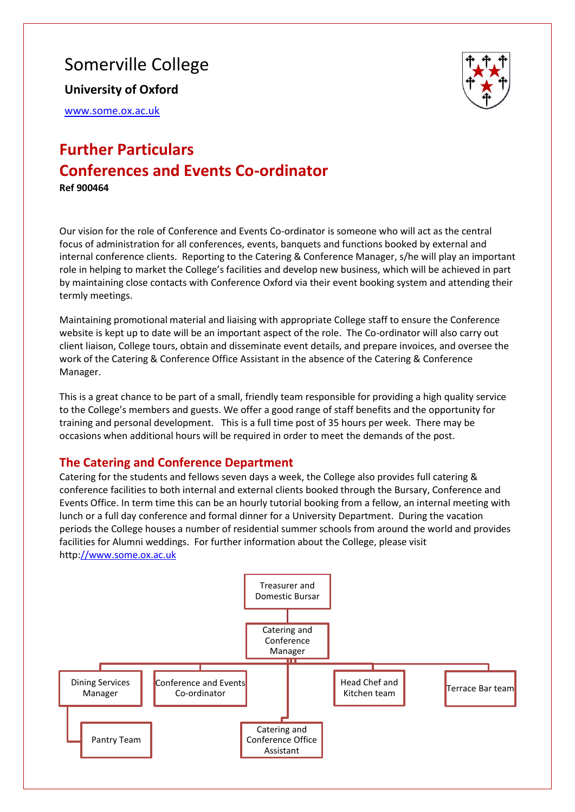# Somerville College

**University of Oxford**

[www.some.ox.ac.uk](http://www.some.ox.ac.uk/)



# **Further Particulars Conferences and Events Co-ordinator Ref 900464**

Our vision for the role of Conference and Events Co-ordinator is someone who will act as the central focus of administration for all conferences, events, banquets and functions booked by external and internal conference clients. Reporting to the Catering & Conference Manager, s/he will play an important role in helping to market the College's facilities and develop new business, which will be achieved in part by maintaining close contacts with Conference Oxford via their event booking system and attending their termly meetings.

Maintaining promotional material and liaising with appropriate College staff to ensure the Conference website is kept up to date will be an important aspect of the role. The Co-ordinator will also carry out client liaison, College tours, obtain and disseminate event details, and prepare invoices, and oversee the work of the Catering & Conference Office Assistant in the absence of the Catering & Conference Manager.

This is a great chance to be part of a small, friendly team responsible for providing a high quality service to the College's members and guests. We offer a good range of staff benefits and the opportunity for training and personal development. This is a full time post of 35 hours per week. There may be occasions when additional hours will be required in order to meet the demands of the post.

### **The Catering and Conference Department**

Catering for the students and fellows seven days a week, the College also provides full catering & conference facilities to both internal and external clients booked through the Bursary, Conference and Events Office. In term time this can be an hourly tutorial booking from a fellow, an internal meeting with lunch or a full day conference and formal dinner for a University Department. During the vacation periods the College houses a number of residential summer schools from around the world and provides facilities for Alumni weddings. For further information about the College, please visit http[://www.some.ox.ac.uk](http://www.some.ox.ac.uk/)

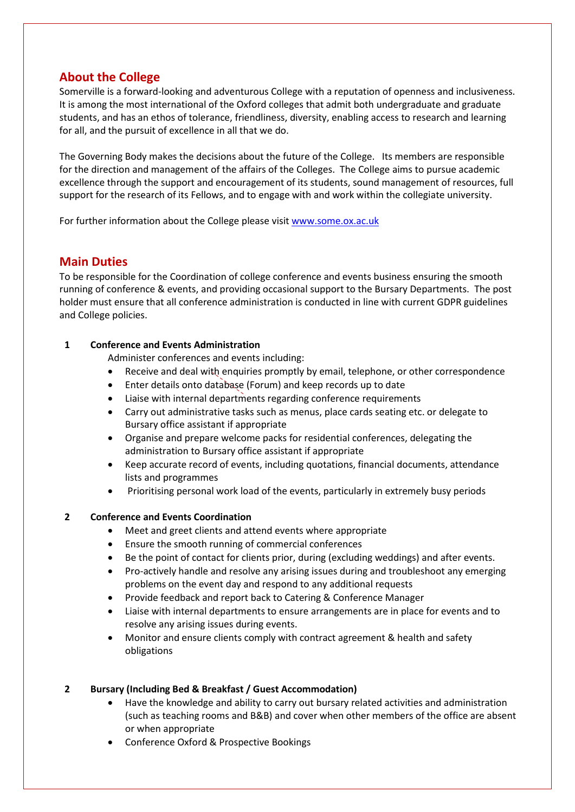### **About the College**

Somerville is a forward-looking and adventurous College with a reputation of openness and inclusiveness. It is among the most international of the Oxford colleges that admit both undergraduate and graduate students, and has an ethos of tolerance, friendliness, diversity, enabling access to research and learning for all, and the pursuit of excellence in all that we do.

The Governing Body makes the decisions about the future of the College. Its members are responsible for the direction and management of the affairs of the Colleges. The College aims to pursue academic excellence through the support and encouragement of its students, sound management of resources, full support for the research of its Fellows, and to engage with and work within the collegiate university.

For further information about the College please visit [www.some.ox.ac.uk](http://www.some.ox.ac.uk/)

### **Main Duties**

To be responsible for the Coordination of college conference and events business ensuring the smooth running of conference & events, and providing occasional support to the Bursary Departments. The post holder must ensure that all conference administration is conducted in line with current GDPR guidelines and College policies.

### **1 Conference and Events Administration**

Administer conferences and events including:

- Receive and deal with enquiries promptly by email, telephone, or other correspondence
- Enter details onto database (Forum) and keep records up to date
- Liaise with internal departments regarding conference requirements
- Carry out administrative tasks such as menus, place cards seating etc. or delegate to Bursary office assistant if appropriate
- Organise and prepare welcome packs for residential conferences, delegating the administration to Bursary office assistant if appropriate
- Keep accurate record of events, including quotations, financial documents, attendance lists and programmes
- Prioritising personal work load of the events, particularly in extremely busy periods

### **2 Conference and Events Coordination**

- Meet and greet clients and attend events where appropriate
- Ensure the smooth running of commercial conferences
- Be the point of contact for clients prior, during (excluding weddings) and after events.
- Pro-actively handle and resolve any arising issues during and troubleshoot any emerging problems on the event day and respond to any additional requests
- Provide feedback and report back to Catering & Conference Manager
- Liaise with internal departments to ensure arrangements are in place for events and to resolve any arising issues during events.
- Monitor and ensure clients comply with contract agreement & health and safety obligations

### **2 Bursary (Including Bed & Breakfast / Guest Accommodation)**

- Have the knowledge and ability to carry out bursary related activities and administration (such as teaching rooms and B&B) and cover when other members of the office are absent or when appropriate
- Conference Oxford & Prospective Bookings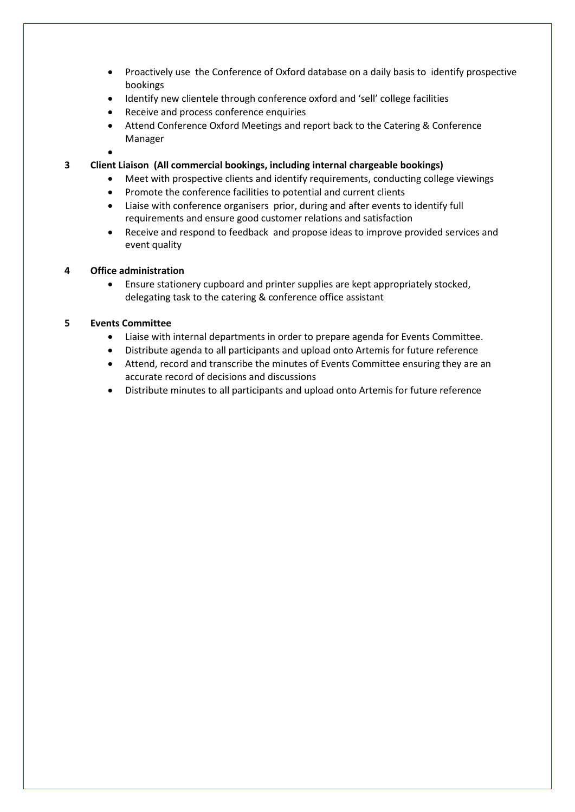- Proactively use the Conference of Oxford database on a daily basis to identify prospective bookings
- Identify new clientele through conference oxford and 'sell' college facilities
- Receive and process conference enquiries
- Attend Conference Oxford Meetings and report back to the Catering & Conference Manager
- •
- **3 Client Liaison (All commercial bookings, including internal chargeable bookings)**
	- Meet with prospective clients and identify requirements, conducting college viewings
	- Promote the conference facilities to potential and current clients
	- Liaise with conference organisers prior, during and after events to identify full requirements and ensure good customer relations and satisfaction
	- Receive and respond to feedback and propose ideas to improve provided services and event quality

#### **4 Office administration**

• Ensure stationery cupboard and printer supplies are kept appropriately stocked, delegating task to the catering & conference office assistant

#### **5 Events Committee**

- Liaise with internal departments in order to prepare agenda for Events Committee.
- Distribute agenda to all participants and upload onto Artemis for future reference
- Attend, record and transcribe the minutes of Events Committee ensuring they are an accurate record of decisions and discussions
- Distribute minutes to all participants and upload onto Artemis for future reference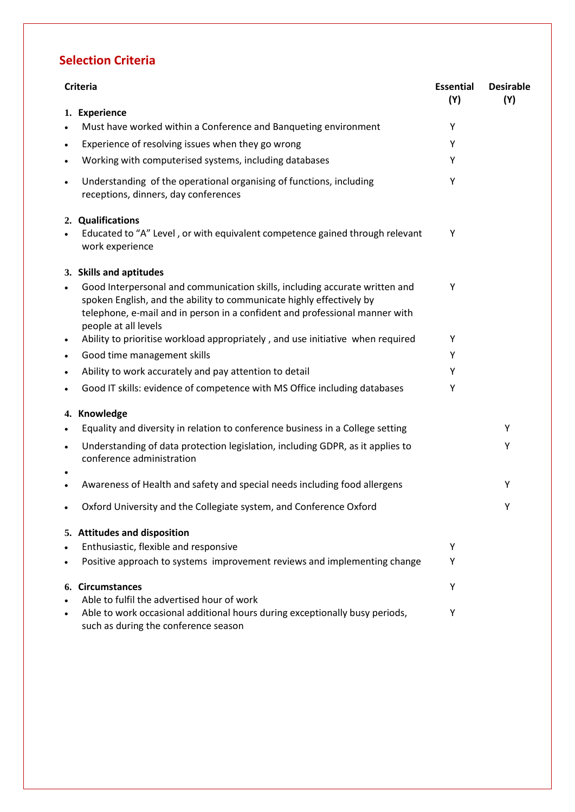# **Selection Criteria**

| <b>Criteria</b> |                                                                                                                                                                                                                                                            | <b>Essential</b><br>(Y) | <b>Desirable</b><br>(Y) |
|-----------------|------------------------------------------------------------------------------------------------------------------------------------------------------------------------------------------------------------------------------------------------------------|-------------------------|-------------------------|
|                 | 1. Experience                                                                                                                                                                                                                                              |                         |                         |
| $\bullet$       | Must have worked within a Conference and Banqueting environment                                                                                                                                                                                            | Υ                       |                         |
| $\bullet$       | Experience of resolving issues when they go wrong                                                                                                                                                                                                          | Υ                       |                         |
| $\bullet$       | Working with computerised systems, including databases                                                                                                                                                                                                     | Y                       |                         |
| $\bullet$       | Understanding of the operational organising of functions, including<br>receptions, dinners, day conferences                                                                                                                                                | Υ                       |                         |
| $\bullet$       | 2. Qualifications<br>Educated to "A" Level, or with equivalent competence gained through relevant<br>work experience                                                                                                                                       | Υ                       |                         |
|                 | 3. Skills and aptitudes                                                                                                                                                                                                                                    |                         |                         |
| $\bullet$       | Good Interpersonal and communication skills, including accurate written and<br>spoken English, and the ability to communicate highly effectively by<br>telephone, e-mail and in person in a confident and professional manner with<br>people at all levels | Y                       |                         |
| $\bullet$       | Ability to prioritise workload appropriately, and use initiative when required                                                                                                                                                                             | Υ                       |                         |
| $\bullet$       | Good time management skills                                                                                                                                                                                                                                | Υ                       |                         |
| $\bullet$       | Ability to work accurately and pay attention to detail                                                                                                                                                                                                     | Y                       |                         |
| $\bullet$       | Good IT skills: evidence of competence with MS Office including databases                                                                                                                                                                                  | Υ                       |                         |
|                 | 4. Knowledge                                                                                                                                                                                                                                               |                         |                         |
| $\bullet$       | Equality and diversity in relation to conference business in a College setting                                                                                                                                                                             |                         | Υ                       |
| $\bullet$       | Understanding of data protection legislation, including GDPR, as it applies to<br>conference administration                                                                                                                                                |                         | Υ                       |
| ٠<br>$\bullet$  | Awareness of Health and safety and special needs including food allergens                                                                                                                                                                                  |                         | Υ                       |
|                 | Oxford University and the Collegiate system, and Conference Oxford                                                                                                                                                                                         |                         | Υ                       |
|                 | 5. Attitudes and disposition                                                                                                                                                                                                                               |                         |                         |
| $\bullet$       | Enthusiastic, flexible and responsive                                                                                                                                                                                                                      | Υ                       |                         |
| $\bullet$       | Positive approach to systems improvement reviews and implementing change                                                                                                                                                                                   | Y                       |                         |
|                 | 6. Circumstances                                                                                                                                                                                                                                           | Υ                       |                         |
|                 | Able to fulfil the advertised hour of work<br>Able to work occasional additional hours during exceptionally busy periods,<br>such as during the conference season                                                                                          | Y                       |                         |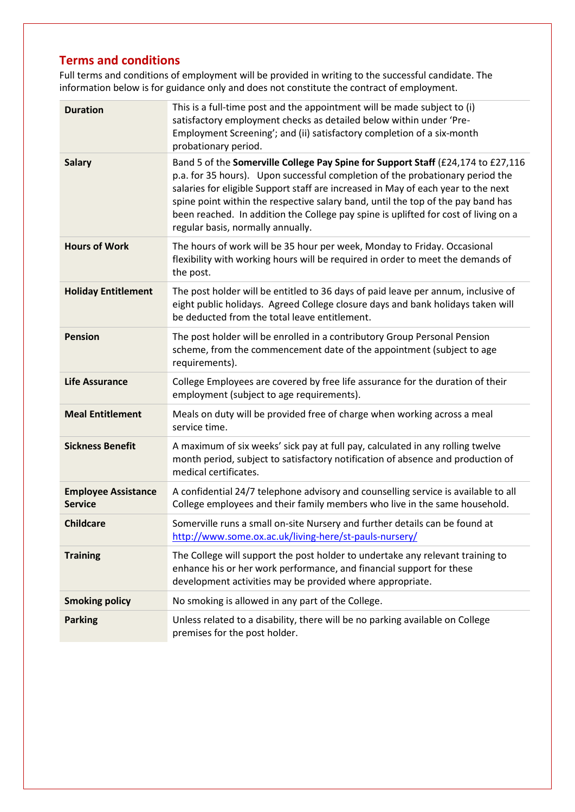## **Terms and conditions**

Full terms and conditions of employment will be provided in writing to the successful candidate. The information below is for guidance only and does not constitute the contract of employment.

| <b>Duration</b>                              | This is a full-time post and the appointment will be made subject to (i)<br>satisfactory employment checks as detailed below within under 'Pre-<br>Employment Screening'; and (ii) satisfactory completion of a six-month<br>probationary period.                                                                                                                                                                                                                      |  |  |
|----------------------------------------------|------------------------------------------------------------------------------------------------------------------------------------------------------------------------------------------------------------------------------------------------------------------------------------------------------------------------------------------------------------------------------------------------------------------------------------------------------------------------|--|--|
| <b>Salary</b>                                | Band 5 of the Somerville College Pay Spine for Support Staff (£24,174 to £27,116<br>p.a. for 35 hours). Upon successful completion of the probationary period the<br>salaries for eligible Support staff are increased in May of each year to the next<br>spine point within the respective salary band, until the top of the pay band has<br>been reached. In addition the College pay spine is uplifted for cost of living on a<br>regular basis, normally annually. |  |  |
| <b>Hours of Work</b>                         | The hours of work will be 35 hour per week, Monday to Friday. Occasional<br>flexibility with working hours will be required in order to meet the demands of<br>the post.                                                                                                                                                                                                                                                                                               |  |  |
| <b>Holiday Entitlement</b>                   | The post holder will be entitled to 36 days of paid leave per annum, inclusive of<br>eight public holidays. Agreed College closure days and bank holidays taken will<br>be deducted from the total leave entitlement.                                                                                                                                                                                                                                                  |  |  |
| <b>Pension</b>                               | The post holder will be enrolled in a contributory Group Personal Pension<br>scheme, from the commencement date of the appointment (subject to age<br>requirements).                                                                                                                                                                                                                                                                                                   |  |  |
| <b>Life Assurance</b>                        | College Employees are covered by free life assurance for the duration of their<br>employment (subject to age requirements).                                                                                                                                                                                                                                                                                                                                            |  |  |
| <b>Meal Entitlement</b>                      | Meals on duty will be provided free of charge when working across a meal<br>service time.                                                                                                                                                                                                                                                                                                                                                                              |  |  |
| <b>Sickness Benefit</b>                      | A maximum of six weeks' sick pay at full pay, calculated in any rolling twelve<br>month period, subject to satisfactory notification of absence and production of<br>medical certificates.                                                                                                                                                                                                                                                                             |  |  |
| <b>Employee Assistance</b><br><b>Service</b> | A confidential 24/7 telephone advisory and counselling service is available to all<br>College employees and their family members who live in the same household.                                                                                                                                                                                                                                                                                                       |  |  |
| <b>Childcare</b>                             | Somerville runs a small on-site Nursery and further details can be found at<br>http://www.some.ox.ac.uk/living-here/st-pauls-nursery/                                                                                                                                                                                                                                                                                                                                  |  |  |
| <b>Training</b>                              | The College will support the post holder to undertake any relevant training to<br>enhance his or her work performance, and financial support for these<br>development activities may be provided where appropriate.                                                                                                                                                                                                                                                    |  |  |
| <b>Smoking policy</b>                        | No smoking is allowed in any part of the College.                                                                                                                                                                                                                                                                                                                                                                                                                      |  |  |
| <b>Parking</b>                               | Unless related to a disability, there will be no parking available on College<br>premises for the post holder.                                                                                                                                                                                                                                                                                                                                                         |  |  |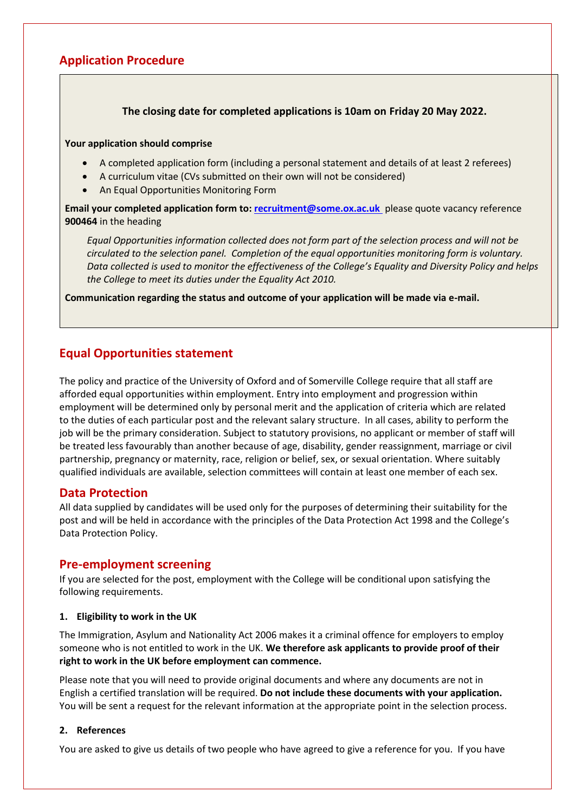### **Application Procedure**

### **The closing date for completed applications is 10am on Friday 20 May 2022.**

#### **Your application should comprise**

- A completed application form (including a personal statement and details of at least 2 referees)
- A curriculum vitae (CVs submitted on their own will not be considered)
- An Equal Opportunities Monitoring Form

**Email your completed application form to: [recruitment@some.ox.ac.uk](mailto:recruitment@some.ox.ac.uk)** please quote vacancy reference **900464** in the heading

*Equal Opportunities information collected does not form part of the selection process and will not be circulated to the selection panel. Completion of the equal opportunities monitoring form is voluntary. Data collected is used to monitor the effectiveness of the College's Equality and Diversity Policy and helps the College to meet its duties under the Equality Act 2010.*

**Communication regarding the status and outcome of your application will be made via e-mail.** 

### **Equal Opportunities statement**

The policy and practice of the University of Oxford and of Somerville College require that all staff are afforded equal opportunities within employment. Entry into employment and progression within employment will be determined only by personal merit and the application of criteria which are related to the duties of each particular post and the relevant salary structure. In all cases, ability to perform the job will be the primary consideration. Subject to statutory provisions, no applicant or member of staff will be treated less favourably than another because of age, disability, gender reassignment, marriage or civil partnership, pregnancy or maternity, race, religion or belief, sex, or sexual orientation. Where suitably qualified individuals are available, selection committees will contain at least one member of each sex.

### **Data Protection**

All data supplied by candidates will be used only for the purposes of determining their suitability for the post and will be held in accordance with the principles of the Data Protection Act 1998 and the College's Data Protection Policy.

### **Pre-employment screening**

If you are selected for the post, employment with the College will be conditional upon satisfying the following requirements.

#### **1. Eligibility to work in the UK**

The Immigration, Asylum and Nationality Act 2006 makes it a criminal offence for employers to employ someone who is not entitled to work in the UK. **We therefore ask applicants to provide proof of their right to work in the UK before employment can commence.**

Please note that you will need to provide original documents and where any documents are not in English a certified translation will be required. **Do not include these documents with your application.** You will be sent a request for the relevant information at the appropriate point in the selection process.

#### **2. References**

You are asked to give us details of two people who have agreed to give a reference for you. If you have